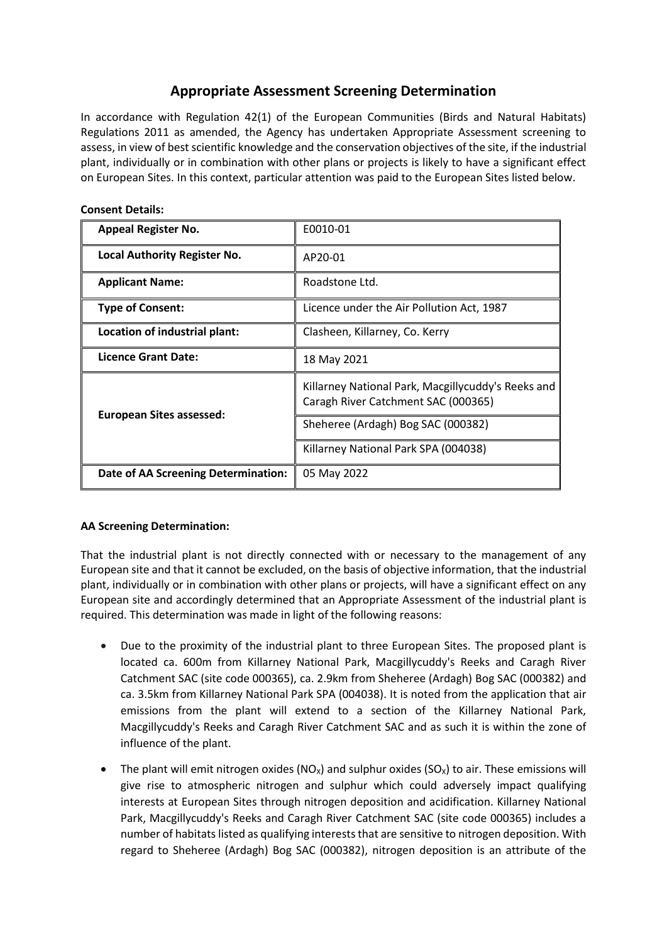## **Appropriate Assessment Screening Determination**

In accordance with Regulation 42(1) of the European Communities (Birds and Natural Habitats) Regulations 2011 as amended, the Agency has undertaken Appropriate Assessment screening to assess, in view of best scientific knowledge and the conservation objectives of the site, if the industrial plant, individually or in combination with other plans or projects is likely to have a significant effect on European Sites. In this context, particular attention was paid to the European Sites listed below.

| <b>Appeal Register No.</b>          | E0010-01                                                                                  |
|-------------------------------------|-------------------------------------------------------------------------------------------|
| <b>Local Authority Register No.</b> | AP20-01                                                                                   |
| <b>Applicant Name:</b>              | Roadstone Ltd.                                                                            |
| <b>Type of Consent:</b>             | Licence under the Air Pollution Act, 1987                                                 |
| Location of industrial plant:       | Clasheen, Killarney, Co. Kerry                                                            |
| Licence Grant Date:                 | 18 May 2021                                                                               |
| <b>European Sites assessed:</b>     | Killarney National Park, Macgillycuddy's Reeks and<br>Caragh River Catchment SAC (000365) |
|                                     | Sheheree (Ardagh) Bog SAC (000382)                                                        |
|                                     | Killarney National Park SPA (004038)                                                      |
| Date of AA Screening Determination: | 05 May 2022                                                                               |

## **Consent Details:**

## **AA Screening Determination:**

That the industrial plant is not directly connected with or necessary to the management of any European site and that it cannot be excluded, on the basis of objective information, that the industrial plant, individually or in combination with other plans or projects, will have a significant effect on any European site and accordingly determined that an Appropriate Assessment of the industrial plant is required. This determination was made in light of the following reasons:

- Due to the proximity of the industrial plant to three European Sites. The proposed plant is located ca. 600m from Killarney National Park, Macgillycuddy's Reeks and Caragh River Catchment SAC (site code 000365), ca. 2.9km from Sheheree (Ardagh) Bog SAC (000382) and ca. 3.5km from Killarney National Park SPA (004038). It is noted from the application that air emissions from the plant will extend to a section of the Killarney National Park, Macgillycuddy's Reeks and Caragh River Catchment SAC and as such it is within the zone of influence of the plant.
- The plant will emit nitrogen oxides (NO<sub>x</sub>) and sulphur oxides (SO<sub>x</sub>) to air. These emissions will give rise to atmospheric nitrogen and sulphur which could adversely impact qualifying interests at European Sites through nitrogen deposition and acidification. Killarney National Park, Macgillycuddy's Reeks and Caragh River Catchment SAC (site code 000365) includes a number of habitats listed as qualifying interests that are sensitive to nitrogen deposition. With regard to Sheheree (Ardagh) Bog SAC (000382), nitrogen deposition is an attribute of the